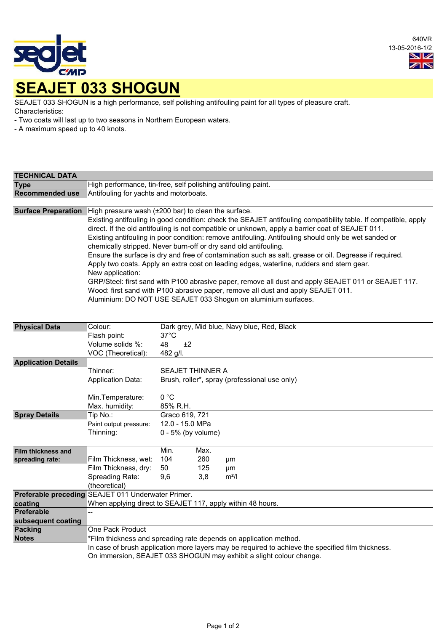

640VR 13-05-2016-1/2 VZ  $\mathbb{Z}^n$ 

SEAJET 033 SHOGUN is a high performance, self polishing antifouling paint for all types of pleasure craft. Characteristics:

- Two coats will last up to two seasons in Northern European waters.

- A maximum speed up to 40 knots.

| <b>TECHNICAL DATA</b>                                         |                                                                                                                                                                                                                                                                                                                                                                                                                                                                                                                                                                                                                                                                                                                                                                                                                                                                                                                                               |                                  |                                                                          |                               |  |  |  |  |  |
|---------------------------------------------------------------|-----------------------------------------------------------------------------------------------------------------------------------------------------------------------------------------------------------------------------------------------------------------------------------------------------------------------------------------------------------------------------------------------------------------------------------------------------------------------------------------------------------------------------------------------------------------------------------------------------------------------------------------------------------------------------------------------------------------------------------------------------------------------------------------------------------------------------------------------------------------------------------------------------------------------------------------------|----------------------------------|--------------------------------------------------------------------------|-------------------------------|--|--|--|--|--|
| <b>Type</b>                                                   | High performance, tin-free, self polishing antifouling paint.                                                                                                                                                                                                                                                                                                                                                                                                                                                                                                                                                                                                                                                                                                                                                                                                                                                                                 |                                  |                                                                          |                               |  |  |  |  |  |
| <b>Recommended use</b>                                        | Antifouling for yachts and motorboats.                                                                                                                                                                                                                                                                                                                                                                                                                                                                                                                                                                                                                                                                                                                                                                                                                                                                                                        |                                  |                                                                          |                               |  |  |  |  |  |
| <b>Surface Preparation</b>                                    | High pressure wash (±200 bar) to clean the surface.<br>Existing antifouling in good condition: check the SEAJET antifouling compatibility table. If compatible, apply<br>direct. If the old antifouling is not compatible or unknown, apply a barrier coat of SEAJET 011.<br>Existing antifouling in poor condition: remove antifouling. Antifouling should only be wet sanded or<br>chemically stripped. Never burn-off or dry sand old antifouling.<br>Ensure the surface is dry and free of contamination such as salt, grease or oil. Degrease if required.<br>Apply two coats. Apply an extra coat on leading edges, waterline, rudders and stern gear.<br>New application:<br>GRP/Steel: first sand with P100 abrasive paper, remove all dust and apply SEAJET 011 or SEAJET 117.<br>Wood: first sand with P100 abrasive paper, remove all dust and apply SEAJET 011.<br>Aluminium: DO NOT USE SEAJET 033 Shogun on aluminium surfaces. |                                  |                                                                          |                               |  |  |  |  |  |
| <b>Physical Data</b>                                          | Colour:<br>Flash point:<br>Volume solids %:<br>VOC (Theoretical):                                                                                                                                                                                                                                                                                                                                                                                                                                                                                                                                                                                                                                                                                                                                                                                                                                                                             | $37^{\circ}$ C<br>48<br>482 g/l. | Dark grey, Mid blue, Navy blue, Red, Black<br>±2                         |                               |  |  |  |  |  |
| <b>Application Details</b>                                    | Thinner:<br><b>Application Data:</b><br>Min.Temperature:<br>Max. humidity:                                                                                                                                                                                                                                                                                                                                                                                                                                                                                                                                                                                                                                                                                                                                                                                                                                                                    | 0 °C<br>85% R.H.                 | <b>SEAJET THINNER A</b><br>Brush, roller*, spray (professional use only) |                               |  |  |  |  |  |
| <b>Spray Details</b>                                          | Tip No.:<br>Paint output pressure:<br>Thinning:                                                                                                                                                                                                                                                                                                                                                                                                                                                                                                                                                                                                                                                                                                                                                                                                                                                                                               |                                  | Graco 619, 721<br>12.0 - 15.0 MPa<br>$0 - 5%$ (by volume)                |                               |  |  |  |  |  |
| Film thickness and<br>spreading rate:                         | Film Thickness, wet:<br>Film Thickness, dry:<br>Spreading Rate:<br>(theoretical)                                                                                                                                                                                                                                                                                                                                                                                                                                                                                                                                                                                                                                                                                                                                                                                                                                                              | Min.<br>104<br>50<br>9,6         | Max.<br>260<br>125<br>3,8                                                | μm<br>μm<br>m <sup>2</sup> /I |  |  |  |  |  |
| coating<br>Preferable<br>subsequent coating<br><b>Packing</b> | Preferable preceding SEAJET 011 Underwater Primer.<br>When applying direct to SEAJET 117, apply within 48 hours.<br>One Pack Product                                                                                                                                                                                                                                                                                                                                                                                                                                                                                                                                                                                                                                                                                                                                                                                                          |                                  |                                                                          |                               |  |  |  |  |  |
| <b>Notes</b>                                                  | *Film thickness and spreading rate depends on application method.<br>In case of brush application more layers may be required to achieve the specified film thickness.<br>On immersion, SEAJET 033 SHOGUN may exhibit a slight colour change.                                                                                                                                                                                                                                                                                                                                                                                                                                                                                                                                                                                                                                                                                                 |                                  |                                                                          |                               |  |  |  |  |  |